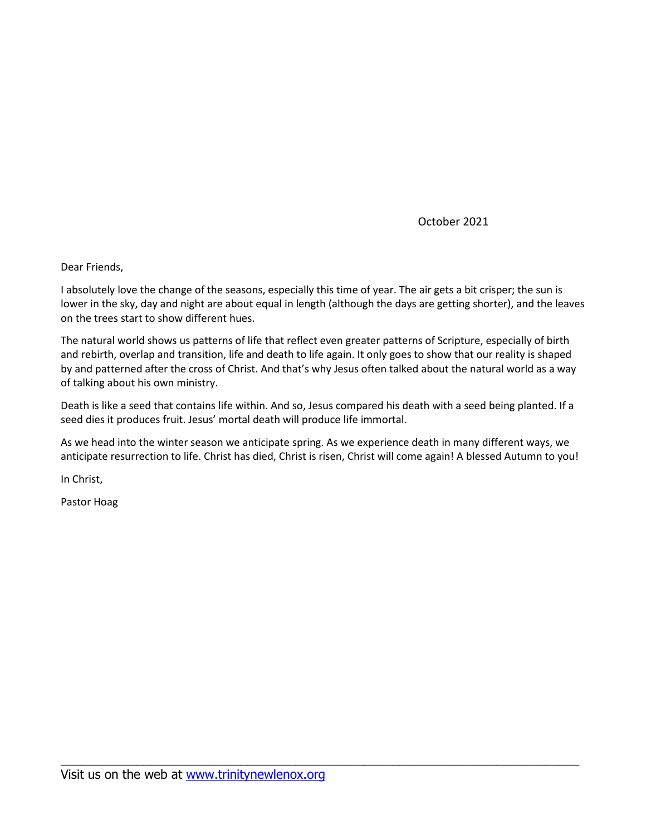October 2021

Dear Friends,

I absolutely love the change of the seasons, especially this time of year. The air gets a bit crisper; the sun is lower in the sky, day and night are about equal in length (although the days are getting shorter), and the leaves on the trees start to show different hues.

The natural world shows us patterns of life that reflect even greater patterns of Scripture, especially of birth and rebirth, overlap and transition, life and death to life again. It only goes to show that our reality is shaped by and patterned after the cross of Christ. And that's why Jesus often talked about the natural world as a way of talking about his own ministry.

Death is like a seed that contains life within. And so, Jesus compared his death with a seed being planted. If a seed dies it produces fruit. Jesus' mortal death will produce life immortal.

As we head into the winter season we anticipate spring. As we experience death in many different ways, we anticipate resurrection to life. Christ has died, Christ is risen, Christ will come again! A blessed Autumn to you!

\_\_\_\_\_\_\_\_\_\_\_\_\_\_\_\_\_\_\_\_\_\_\_\_\_\_\_\_\_\_\_\_\_\_\_\_\_\_\_\_\_\_\_\_\_\_\_\_\_\_\_\_\_\_\_\_\_\_\_\_\_\_\_\_\_\_\_\_\_\_\_\_\_\_\_

In Christ,

Pastor Hoag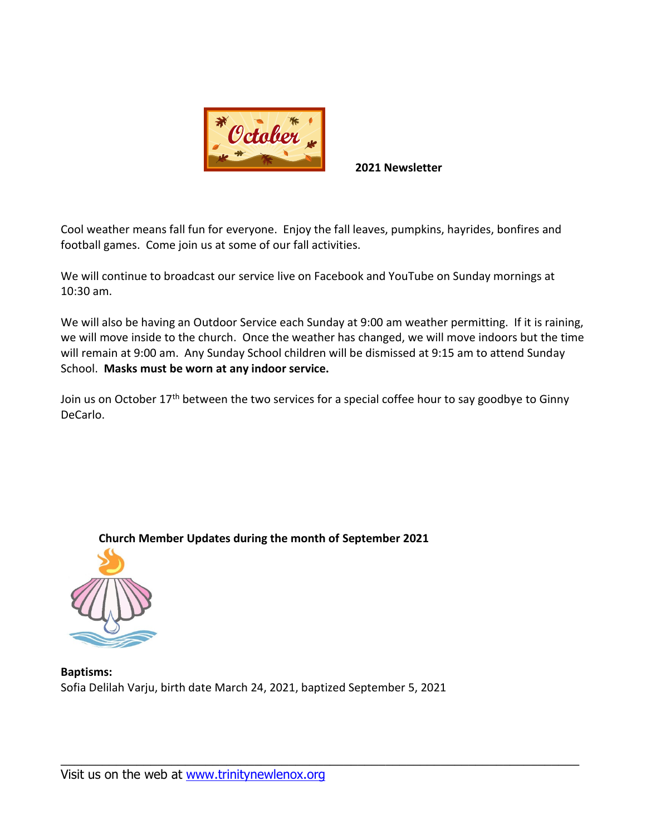

**2021 Newsletter**

Cool weather means fall fun for everyone. Enjoy the fall leaves, pumpkins, hayrides, bonfires and football games. Come join us at some of our fall activities.

We will continue to broadcast our service live on Facebook and YouTube on Sunday mornings at 10:30 am.

We will also be having an Outdoor Service each Sunday at 9:00 am weather permitting. If it is raining, we will move inside to the church. Once the weather has changed, we will move indoors but the time will remain at 9:00 am. Any Sunday School children will be dismissed at 9:15 am to attend Sunday School. **Masks must be worn at any indoor service.**

Join us on October  $17<sup>th</sup>$  between the two services for a special coffee hour to say goodbye to Ginny DeCarlo.

\_\_\_\_\_\_\_\_\_\_\_\_\_\_\_\_\_\_\_\_\_\_\_\_\_\_\_\_\_\_\_\_\_\_\_\_\_\_\_\_\_\_\_\_\_\_\_\_\_\_\_\_\_\_\_\_\_\_\_\_\_\_\_\_\_\_\_\_\_\_\_\_\_\_\_

**Church Member Updates during the month of September 2021**



**Baptisms:** Sofia Delilah Varju, birth date March 24, 2021, baptized September 5, 2021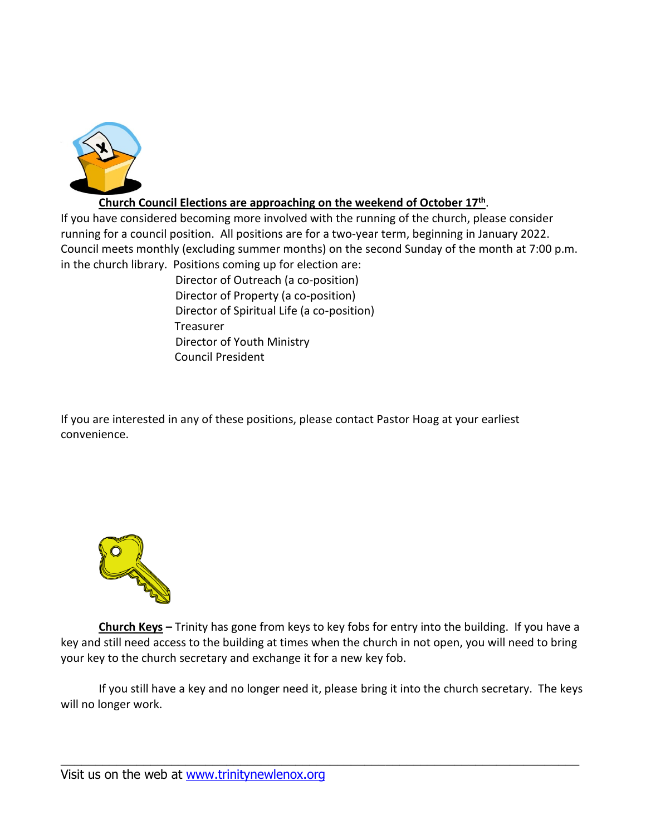

# **Church Council Elections are approaching on the weekend of October 17<sup>th</sup>.**

If you have considered becoming more involved with the running of the church, please consider running for a council position. All positions are for a two-year term, beginning in January 2022. Council meets monthly (excluding summer months) on the second Sunday of the month at 7:00 p.m. in the church library. Positions coming up for election are:

> Director of Outreach (a co-position) Director of Property (a co-position) Director of Spiritual Life (a co-position) Treasurer Director of Youth Ministry Council President

If you are interested in any of these positions, please contact Pastor Hoag at your earliest convenience.



**Church Keys –** Trinity has gone from keys to key fobs for entry into the building. If you have a key and still need access to the building at times when the church in not open, you will need to bring your key to the church secretary and exchange it for a new key fob.

If you still have a key and no longer need it, please bring it into the church secretary. The keys will no longer work.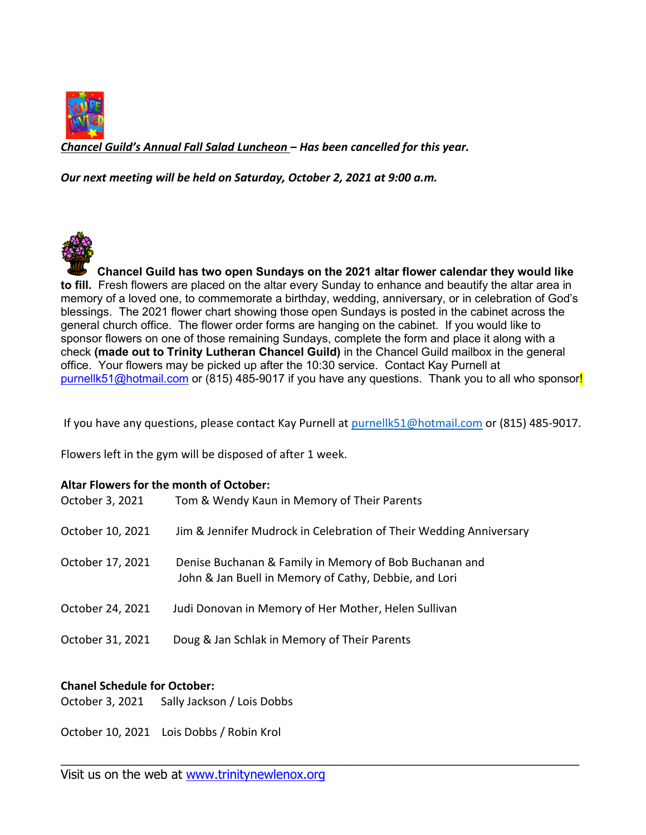

*Chancel Guild's Annual Fall Salad Luncheon – Has been cancelled for this year.*

*Our next meeting will be held on Saturday, October 2, 2021 at 9:00 a.m.* 

**Chancel Guild has two open Sundays on the 2021 altar flower calendar they would like to fill.** Fresh flowers are placed on the altar every Sunday to enhance and beautify the altar area in memory of a loved one, to commemorate a birthday, wedding, anniversary, or in celebration of God's blessings. The 2021 flower chart showing those open Sundays is posted in the cabinet across the general church office. The flower order forms are hanging on the cabinet. If you would like to sponsor flowers on one of those remaining Sundays, complete the form and place it along with a check **(made out to Trinity Lutheran Chancel Guild)** in the Chancel Guild mailbox in the general office. Your flowers may be picked up after the 10:30 service. Contact Kay Purnell at [purnellk51@hotmail.com](mailto:purnellk51@hotmail.com) or (815) 485-9017 if you have any questions. Thank you to all who sponsor!

If you have any questions, please contact Kay Purnell at [purnellk51@hotmail.com](mailto:purnellk51@hotmail.com) or (815) 485-9017.

Flowers left in the gym will be disposed of after 1 week.

### **Altar Flowers for the month of October:**

| October 3, 2021  | Tom & Wendy Kaun in Memory of Their Parents                                                                     |
|------------------|-----------------------------------------------------------------------------------------------------------------|
| October 10, 2021 | Jim & Jennifer Mudrock in Celebration of Their Wedding Anniversary                                              |
| October 17, 2021 | Denise Buchanan & Family in Memory of Bob Buchanan and<br>John & Jan Buell in Memory of Cathy, Debbie, and Lori |
| October 24, 2021 | Judi Donovan in Memory of Her Mother, Helen Sullivan                                                            |
| October 31, 2021 | Doug & Jan Schlak in Memory of Their Parents                                                                    |

\_\_\_\_\_\_\_\_\_\_\_\_\_\_\_\_\_\_\_\_\_\_\_\_\_\_\_\_\_\_\_\_\_\_\_\_\_\_\_\_\_\_\_\_\_\_\_\_\_\_\_\_\_\_\_\_\_\_\_\_\_\_\_\_\_\_\_\_\_\_\_\_\_\_\_

## **Chanel Schedule for October:**

October 3, 2021 Sally Jackson / Lois Dobbs

October 10, 2021 Lois Dobbs / Robin Krol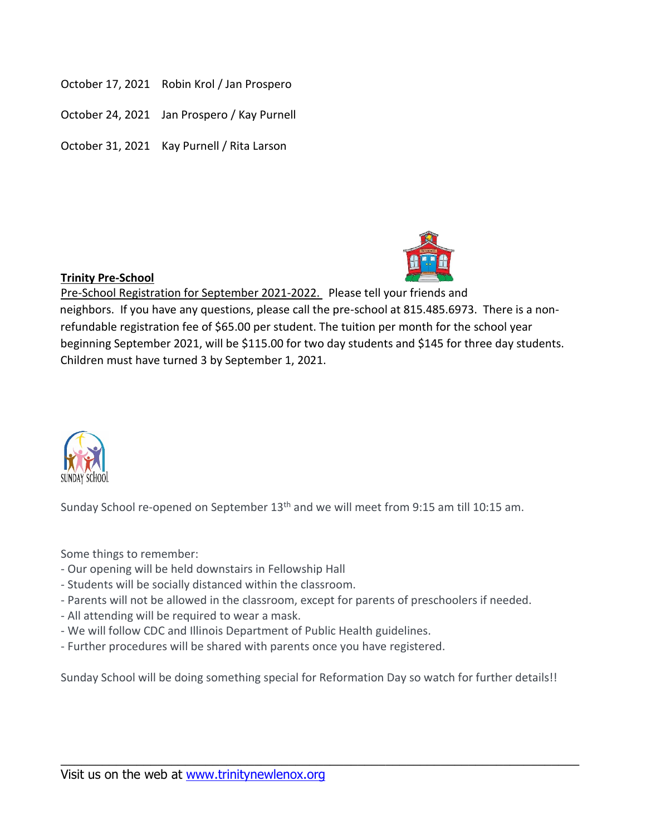- October 17, 2021 Robin Krol / Jan Prospero
- October 24, 2021 Jan Prospero / Kay Purnell
- October 31, 2021 Kay Purnell / Rita Larson



## **Trinity Pre-School**

Pre-School Registration for September 2021-2022. Please tell your friends and neighbors. If you have any questions, please call the pre-school at 815.485.6973. There is a nonrefundable registration fee of \$65.00 per student. The tuition per month for the school year beginning September 2021, will be \$115.00 for two day students and \$145 for three day students. Children must have turned 3 by September 1, 2021.



Sunday School re-opened on September  $13<sup>th</sup>$  and we will meet from 9:15 am till 10:15 am.

Some things to remember:

- Our opening will be held downstairs in Fellowship Hall
- Students will be socially distanced within the classroom.
- Parents will not be allowed in the classroom, except for parents of preschoolers if needed.
- All attending will be required to wear a mask.
- We will follow CDC and Illinois Department of Public Health guidelines.
- Further procedures will be shared with parents once you have registered.

Sunday School will be doing something special for Reformation Day so watch for further details!!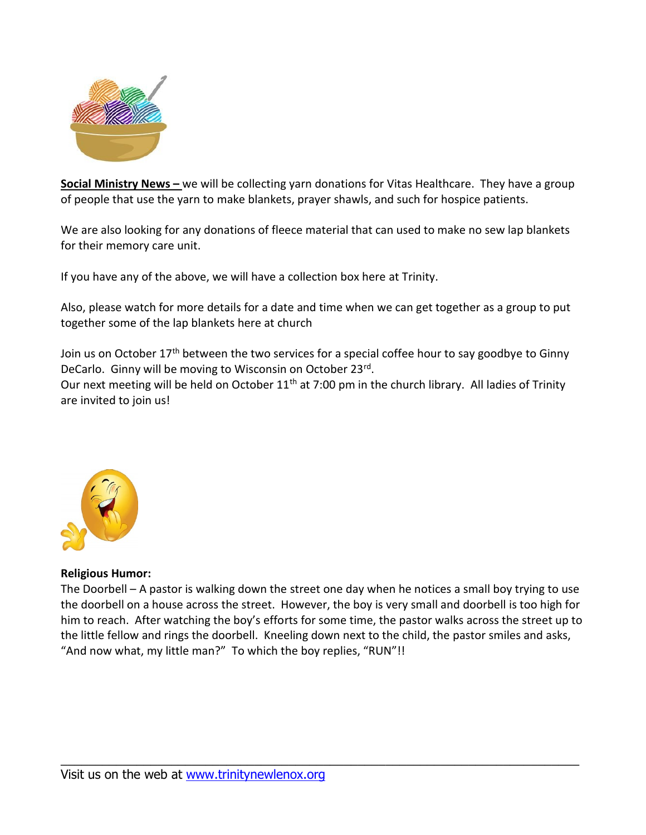

**Social Ministry News –** we will be collecting yarn donations for Vitas Healthcare. They have a group of people that use the yarn to make blankets, prayer shawls, and such for hospice patients.

We are also looking for any donations of fleece material that can used to make no sew lap blankets for their memory care unit.

If you have any of the above, we will have a collection box here at Trinity.

Also, please watch for more details for a date and time when we can get together as a group to put together some of the lap blankets here at church

Join us on October 17<sup>th</sup> between the two services for a special coffee hour to say goodbye to Ginny DeCarlo. Ginny will be moving to Wisconsin on October 23rd. Our next meeting will be held on October 11<sup>th</sup> at 7:00 pm in the church library. All ladies of Trinity are invited to join us!



### **Religious Humor:**

The Doorbell – A pastor is walking down the street one day when he notices a small boy trying to use the doorbell on a house across the street. However, the boy is very small and doorbell is too high for him to reach. After watching the boy's efforts for some time, the pastor walks across the street up to the little fellow and rings the doorbell. Kneeling down next to the child, the pastor smiles and asks, "And now what, my little man?" To which the boy replies, "RUN"!!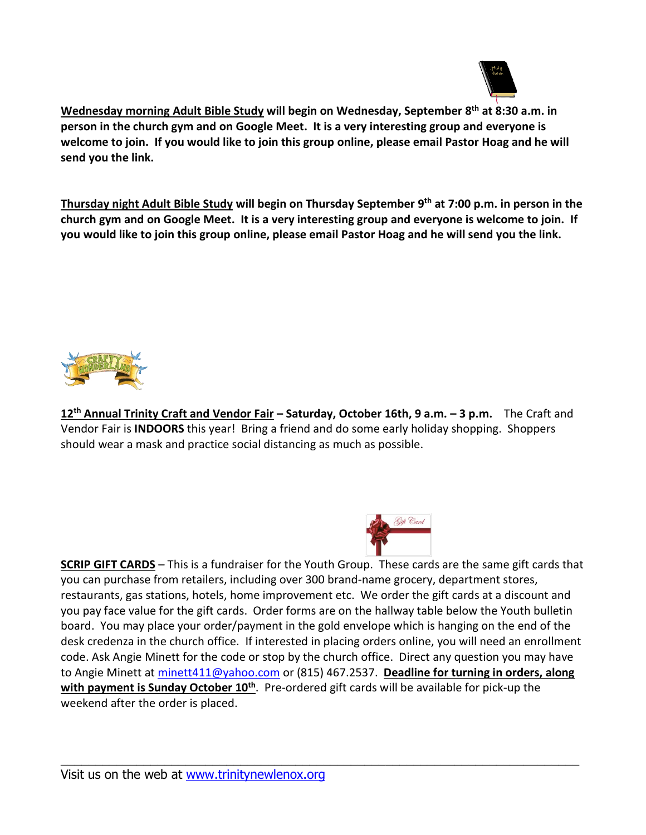

**Wednesday morning Adult Bible Study will begin on Wednesday, September 8 th at 8:30 a.m. in person in the church gym and on Google Meet. It is a very interesting group and everyone is welcome to join. If you would like to join this group online, please email Pastor Hoag and he will send you the link.**

**Thursday night Adult Bible Study will begin on Thursday September 9 th at 7:00 p.m. in person in the church gym and on Google Meet. It is a very interesting group and everyone is welcome to join. If you would like to join this group online, please email Pastor Hoag and he will send you the link.**



**12 th Annual Trinity Craft and Vendor Fair – Saturday, October 16th, 9 a.m. – 3 p.m.** The Craft and Vendor Fair is **INDOORS** this year! Bring a friend and do some early holiday shopping. Shoppers should wear a mask and practice social distancing as much as possible.



**SCRIP GIFT CARDS** – This is a fundraiser for the Youth Group. These cards are the same gift cards that you can purchase from retailers, including over 300 brand-name grocery, department stores, restaurants, gas stations, hotels, home improvement etc. We order the gift cards at a discount and you pay face value for the gift cards. Order forms are on the hallway table below the Youth bulletin board. You may place your order/payment in the gold envelope which is hanging on the end of the desk credenza in the church office. If interested in placing orders online, you will need an enrollment code. Ask Angie Minett for the code or stop by the church office. Direct any question you may have to Angie Minett at [minett411@yahoo.com](mailto:minett411@yahoo.com) or (815) 467.2537. **Deadline for turning in orders, along with payment is Sunday October 10 th**. Pre-ordered gift cards will be available for pick-up the weekend after the order is placed.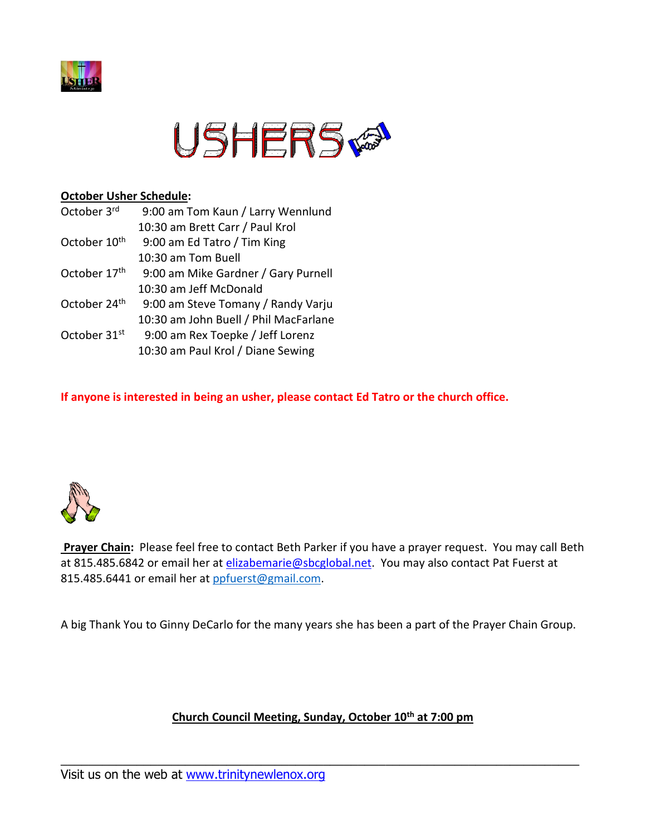



### **October Usher Schedule:**

| October 3rd              | 9:00 am Tom Kaun / Larry Wennlund     |
|--------------------------|---------------------------------------|
|                          | 10:30 am Brett Carr / Paul Krol       |
| October 10 <sup>th</sup> | 9:00 am Ed Tatro / Tim King           |
|                          | 10:30 am Tom Buell                    |
| October 17th             | 9:00 am Mike Gardner / Gary Purnell   |
|                          | 10:30 am Jeff McDonald                |
| October 24th             | 9:00 am Steve Tomany / Randy Varju    |
|                          | 10:30 am John Buell / Phil MacFarlane |
| October 31 <sup>st</sup> | 9:00 am Rex Toepke / Jeff Lorenz      |
|                          | 10:30 am Paul Krol / Diane Sewing     |

**If anyone is interested in being an usher, please contact Ed Tatro or the church office.**



**Prayer Chain:** Please feel free to contact Beth Parker if you have a prayer request. You may call Beth at 815.485.6842 or email her at [elizabemarie@sbcglobal.net.](mailto:elizabemarie@sbcglobal.net) You may also contact Pat Fuerst at 815.485.6441 or email her at ppfuerst@gmail.com.

A big Thank You to Ginny DeCarlo for the many years she has been a part of the Prayer Chain Group.

## **Church Council Meeting, Sunday, October 10 th at 7:00 pm**

\_\_\_\_\_\_\_\_\_\_\_\_\_\_\_\_\_\_\_\_\_\_\_\_\_\_\_\_\_\_\_\_\_\_\_\_\_\_\_\_\_\_\_\_\_\_\_\_\_\_\_\_\_\_\_\_\_\_\_\_\_\_\_\_\_\_\_\_\_\_\_\_\_\_\_

Visit us on the web at [www.trinitynewlenox.org](http://www.trinitynewlenox.org/)